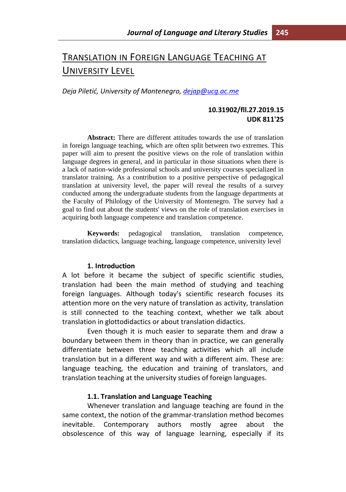# TRANSLATION IN FOREIGN LANGUAGE TEACHING AT UNIVERSITY LEVEL

*Deja Piletić, University of Montenegro, [dejap@ucg.ac.me](mailto:dejap@ucg.ac.me)*

#### **10.31902/fll.27.2019.15 UDK 811'25**

**Abstract:** There are different attitudes towards the use of translation in foreign language teaching, which are often split between two extremes. This paper will aim to present the positive views on the role of translation within language degrees in general, and in particular in those situations when there is a lack of nation-wide professional schools and university courses specialized in translator training. As a contribution to a positive perspective of pedagogical translation at university level, the paper will reveal the results of a survey conducted among the undergraduate students from the language departments at the Faculty of Philology of the University of Montenegro. The survey had a goal to find out about the students' views on the role of translation exercises in acquiring both language competence and translation competence.

**Keywords:** pedagogical translation, translation competence, translation didactics, language teaching, language competence, university level

#### **1. Introduction**

A lot before it became the subject of specific scientific studies, translation had been the main method of studying and teaching foreign languages. Although today's scientific research focuses its attention more on the very nature of translation as activity, translation is still connected to the teaching context, whether we talk about translation in glottodidactics or about translation didactics.

Even though it is much easier to separate them and draw a boundary between them in theory than in practice, we can generally differentiate between three teaching activities which all include translation but in a different way and with a different aim. These are: language teaching, the education and training of translators, and translation teaching at the university studies of foreign languages.

#### **1.1. Translation and Language Teaching**

Whenever translation and language teaching are found in the same context, the notion of the grammar-translation method becomes inevitable. Contemporary authors mostly agree about the obsolescence of this way of language learning, especially if its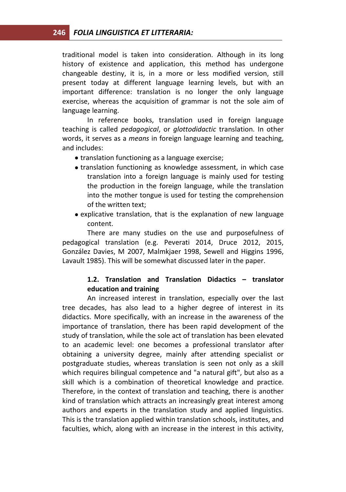traditional model is taken into consideration. Although in its long history of existence and application, this method has undergone changeable destiny, it is, in a more or less modified version, still present today at different language learning levels, but with an important difference: translation is no longer the only language exercise, whereas the acquisition of grammar is not the sole aim of language learning.

In reference books, translation used in foreign language teaching is called *pedagogical*, or *glottodidactic* translation. In other words, it serves as a *means* in foreign language learning and teaching, and includes:

- translation functioning as a language exercise;
- translation functioning as knowledge assessment, in which case translation into a foreign language is mainly used for testing the production in the foreign language, while the translation into the mother tongue is used for testing the comprehension of the written text;
- explicative translation, that is the explanation of new language content.

There are many studies on the use and purposefulness of pedagogical translation (e.g. Peverati 2014, Druce 2012, 2015, González Davies, M 2007, Malmkjaer 1998, Sewell and Higgins 1996, Lavault 1985). This will be somewhat discussed later in the paper.

## **1.2. Translation and Translation Didactics – translator education and training**

An increased interest in translation, especially over the last tree decades, has also lead to a higher degree of interest in its didactics. More specifically, with an increase in the awareness of the importance of translation, there has been rapid development of the study of translation, while the sole act of translation has been elevated to an academic level: one becomes a professional translator after obtaining a university degree, mainly after attending specialist or postgraduate studies, whereas translation is seen not only as a skill which requires bilingual competence and "a natural gift", but also as a skill which is a combination of theoretical knowledge and practice. Therefore, in the context of translation and teaching, there is another kind of translation which attracts an increasingly great interest among authors and experts in the translation study and applied linguistics. This is the translation applied within translation schools, institutes, and faculties, which, along with an increase in the interest in this activity,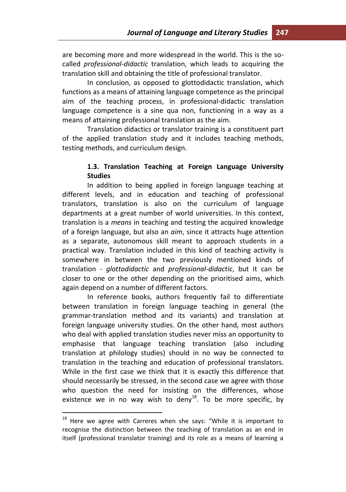are becoming more and more widespread in the world. This is the socalled *professional-didactic* translation, which leads to acquiring the translation skill and obtaining the title of professional translator.

In conclusion, as opposed to glottodidactic translation, which functions as a means of attaining language competence as the principal aim of the teaching process, in professional-didactic translation language competence is a sine qua non, functioning in a way as a means of attaining professional translation as the aim.

Translation didactics or translator training is a constituent part of the applied translation study and it includes teaching methods, testing methods, and curriculum design.

### **1.3. Translation Teaching at Foreign Language University Studies**

In addition to being applied in foreign language teaching at different levels, and in education and teaching of professional translators, translation is also on the curriculum of language departments at a great number of world universities. In this context, translation is a *means* in teaching and testing the acquired knowledge of a foreign language, but also an *aim*, since it attracts huge attention as a separate, autonomous skill meant to approach students in a practical way. Translation included in this kind of teaching activity is somewhere in between the two previously mentioned kinds of translation - *glottodidactic* and *professional-didactic*, but it can be closer to one or the other depending on the prioritised aims, which again depend on a number of different factors.

In reference books, authors frequently fail to differentiate between translation in foreign language teaching in general (the grammar-translation method and its variants) and translation at foreign language university studies. On the other hand, most authors who deal with applied translation studies never miss an opportunity to emphasise that language teaching translation (also including translation at philology studies) should in no way be connected to translation in the teaching and education of professional translators. While in the first case we think that it is exactly this difference that should necessarily be stressed, in the second case we agree with those who question the need for insisting on the differences, whose existence we in no way wish to deny<sup>18</sup>. To be more specific, by

 $18$  Here we agree with Carreres when she says: "While it is important to recognise the distinction between the teaching of translation as an end in itself (professional translator training) and its role as a means of learning a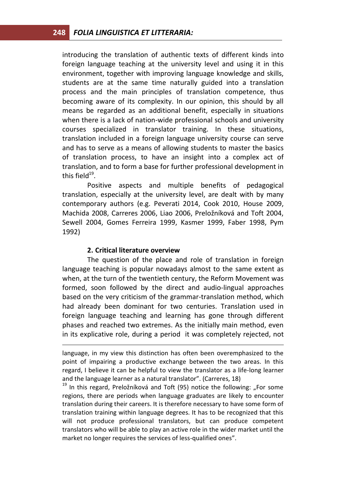introducing the translation of authentic texts of different kinds into foreign language teaching at the university level and using it in this environment, together with improving language knowledge and skills, students are at the same time naturally guided into a translation process and the main principles of translation competence, thus becoming aware of its complexity. In our opinion, this should by all means be regarded as an additional benefit, especially in situations when there is a lack of nation-wide professional schools and university courses specialized in translator training. In these situations, translation included in a foreign language university course can serve and has to serve as a means of allowing students to master the basics of translation process, to have an insight into a complex act of translation, and to form a base for further professional development in this field $^{19}$ .

Positive aspects and multiple benefits of pedagogical translation, especially at the university level, are dealt with by many contemporary authors (e.g. Peverati 2014, Cook 2010, House 2009, Machida 2008, Carreres 2006, Liao 2006, Preložníková and Toft 2004, Sewell 2004, Gomes Ferreira 1999, Kasmer 1999, Faber 1998, Pym 1992)

#### **2. Critical literature overview**

<u>.</u>

The question of the place and role of translation in foreign language teaching is popular nowadays almost to the same extent as when, at the turn of the twentieth century, the Reform Movement was formed, soon followed by the direct and audio-lingual approaches based on the very criticism of the grammar-translation method, which had already been dominant for two centuries. Translation used in foreign language teaching and learning has gone through different phases and reached two extremes. As the initially main method, even in its explicative role, during a period it was completely rejected, not

 $19$  In this regard, Preložníková and Toft (95) notice the following: "For some regions, there are periods when language graduates are likely to encounter translation during their careers. It is therefore necessary to have some form of translation training within language degrees. It has to be recognized that this will not produce professional translators, but can produce competent translators who will be able to play an active role in the wider market until the market no longer requires the services of less-qualified ones".

language, in my view this distinction has often been overemphasized to the point of impairing a productive exchange between the two areas. In this regard, I believe it can be helpful to view the translator as a life-long learner and the language learner as a natural translator". (Carreres, 18)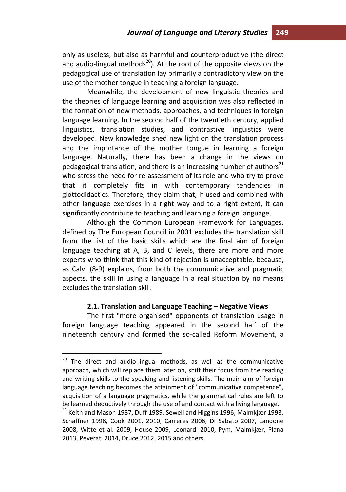only as useless, but also as harmful and counterproductive (the direct and audio-lingual methods<sup>20</sup>). At the root of the opposite views on the pedagogical use of translation lay primarily a contradictory view on the use of the mother tongue in teaching a foreign language.

Meanwhile, the development of new linguistic theories and the theories of language learning and acquisition was also reflected in the formation of new methods, approaches, and techniques in foreign language learning. In the second half of the twentieth century, applied linguistics, translation studies, and contrastive linguistics were developed. New knowledge shed new light on the translation process and the importance of the mother tongue in learning a foreign language. Naturally, there has been a change in the views on pedagogical translation, and there is an increasing number of authors $^{21}$ who stress the need for re-assessment of its role and who try to prove that it completely fits in with contemporary tendencies in glottodidactics. Therefore, they claim that, if used and combined with other language exercises in a right way and to a right extent, it can significantly contribute to teaching and learning a foreign language.

Although the Common European Framework for Languages, defined by The European Council in 2001 excludes the translation skill from the list of the basic skills which are the final aim of foreign language teaching at A, B, and C levels, there are more and more experts who think that this kind of rejection is unacceptable, because, as Calvi (8-9) explains, from both the communicative and pragmatic aspects, the skill in using a language in a real situation by no means excludes the translation skill.

#### **2.1. Translation and Language Teaching – Negative Views**

The first "more organised" opponents of translation usage in foreign language teaching appeared in the second half of the nineteenth century and formed the so-called Reform Movement, a

 $20$  The direct and audio-lingual methods, as well as the communicative approach, which will replace them later on, shift their focus from the reading and writing skills to the speaking and listening skills. The main aim of foreign language teaching becomes the attainment of "communicative competence", acquisition of a language pragmatics, while the grammatical rules are left to be learned deductively through the use of and contact with a living language.

 $21$  Keith and Mason 1987, Duff 1989, Sewell and Higgins 1996, Malmkjær 1998, Schaffner 1998, Cook 2001, 2010, Carreres 2006, Di Sabato 2007, Landone 2008, Witte et al. 2009, House 2009, Leonardi 2010, Pym, Malmkjær, Plana 2013, Peverati 2014, Druce 2012, 2015 and others.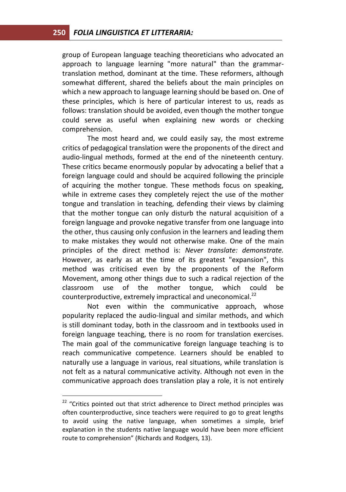group of European language teaching theoreticians who advocated an approach to language learning "more natural" than the grammartranslation method, dominant at the time. These reformers, although somewhat different, shared the beliefs about the main principles on which a new approach to language learning should be based on. One of these principles, which is here of particular interest to us, reads as follows: translation should be avoided, even though the mother tongue could serve as useful when explaining new words or checking comprehension.

The most heard and, we could easily say, the most extreme critics of pedagogical translation were the proponents of the direct and audio-lingual methods, formed at the end of the nineteenth century. These critics became enormously popular by advocating a belief that a foreign language could and should be acquired following the principle of acquiring the mother tongue. These methods focus on speaking, while in extreme cases they completely reject the use of the mother tongue and translation in teaching, defending their views by claiming that the mother tongue can only disturb the natural acquisition of a foreign language and provoke negative transfer from one language into the other, thus causing only confusion in the learners and leading them to make mistakes they would not otherwise make. One of the main principles of the direct method is: *Never translate: demonstrate.*  However, as early as at the time of its greatest "expansion", this method was criticised even by the proponents of the Reform Movement, among other things due to such a radical rejection of the classroom use of the mother tongue, which could be counterproductive, extremely impractical and uneconomical.<sup>22</sup>

Not even within the communicative approach, whose popularity replaced the audio-lingual and similar methods, and which is still dominant today, both in the classroom and in textbooks used in foreign language teaching, there is no room for translation exercises. The main goal of the communicative foreign language teaching is to reach communicative competence. Learners should be enabled to naturally use a language in various, real situations, while translation is not felt as a natural communicative activity. Although not even in the communicative approach does translation play a role, it is not entirely

 $22$  "Critics pointed out that strict adherence to Direct method principles was often counterproductive, since teachers were required to go to great lengths to avoid using the native language, when sometimes a simple, brief explanation in the students native language would have been more efficient route to comprehension" (Richards and Rodgers, 13).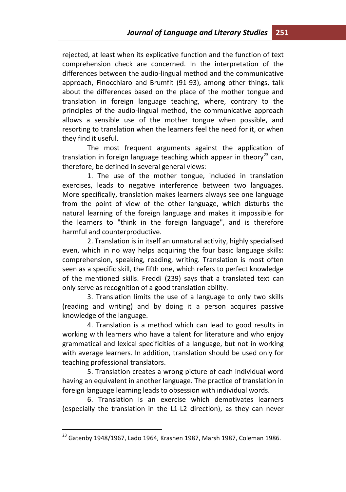rejected, at least when its explicative function and the function of text comprehension check are concerned. In the interpretation of the differences between the audio-lingual method and the communicative approach, Finocchiaro and Brumfit (91-93), among other things, talk about the differences based on the place of the mother tongue and translation in foreign language teaching, where, contrary to the principles of the audio-lingual method, the communicative approach allows a sensible use of the mother tongue when possible, and resorting to translation when the learners feel the need for it, or when they find it useful.

The most frequent arguments against the application of translation in foreign language teaching which appear in theory<sup>23</sup> can, therefore, be defined in several general views:

1. The use of the mother tongue, included in translation exercises, leads to negative interference between two languages. More specifically, translation makes learners always see one language from the point of view of the other language, which disturbs the natural learning of the foreign language and makes it impossible for the learners to "think in the foreign language", and is therefore harmful and counterproductive.

2. Translation is in itself an unnatural activity, highly specialised even, which in no way helps acquiring the four basic language skills: comprehension, speaking, reading, writing. Translation is most often seen as a specific skill, the fifth one, which refers to perfect knowledge of the mentioned skills. Freddi (239) says that a translated text can only serve as recognition of a good translation ability.

3. Translation limits the use of a language to only two skills (reading and writing) and by doing it a person acquires passive knowledge of the language.

4. Translation is a method which can lead to good results in working with learners who have a talent for literature and who enjoy grammatical and lexical specificities of a language, but not in working with average learners. In addition, translation should be used only for teaching professional translators.

5. Translation creates a wrong picture of each individual word having an equivalent in another language. The practice of translation in foreign language learning leads to obsession with individual words.

6. Translation is an exercise which demotivates learners (especially the translation in the L1-L2 direction), as they can never

 $^{23}$  Gatenby 1948/1967, Lado 1964, Krashen 1987, Marsh 1987, Coleman 1986.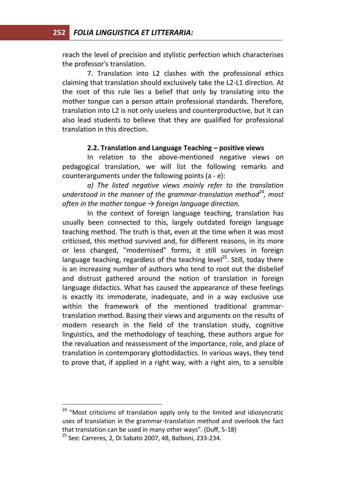reach the level of precision and stylistic perfection which characterises the professor's translation.

7. Translation into L2 clashes with the professional ethics claiming that translation should exclusively take the L2-L1 direction. At the root of this rule lies a belief that only by translating into the mother tongue can a person attain professional standards. Therefore, translation into L2 is not only useless and counterproductive, but it can also lead students to believe that they are qualified for professional translation in this direction.

#### **2.2. Translation and Language Teaching – positive views**

In relation to the above-mentioned negative views on pedagogical translation, we will list the following remarks and counterarguments under the following points (a - e):

*a) The listed negative views mainly refer to the translation understood in the manner of the grammar-translation method<sup>24</sup>, most often in the mother tongue → foreign language direction.* 

In the context of foreign language teaching, translation has usually been connected to this, largely outdated foreign language teaching method. The truth is that, even at the time when it was most criticised, this method survived and, for different reasons, in its more or less changed, "modernised" forms, it still survives in foreign language teaching, regardless of the teaching level<sup>25</sup>. Still, today there is an increasing number of authors who tend to root out the disbelief and distrust gathered around the notion of translation in foreign language didactics. What has caused the appearance of these feelings is exactly its immoderate, inadequate, and in a way exclusive use within the framework of the mentioned traditional grammartranslation method. Basing their views and arguments on the results of modern research in the field of the translation study, cognitive linguistics, and the methodology of teaching, these authors argue for the revaluation and reassessment of the importance, role, and place of translation in contemporary glottodidactics. In various ways, they tend to prove that, if applied in a right way, with a right aim, to a sensible

<sup>&</sup>lt;sup>24</sup> "Most criticisms of translation apply only to the limited and idiosyncratic uses of translation in the grammar-translation method and overlook the fact that translation can be used in many other ways". (Duff, 5-18)

<sup>25</sup> See: Carreres, 2, Di Sabato 2007, 48, Balboni, 233-234.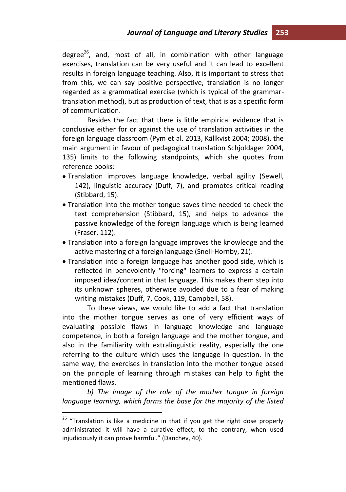degree $^{26}$ , and, most of all, in combination with other language exercises, translation can be very useful and it can lead to excellent results in foreign language teaching. Also, it is important to stress that from this, we can say positive perspective, translation is no longer regarded as a grammatical exercise (which is typical of the grammartranslation method), but as production of text, that is as a specific form of communication.

Besides the fact that there is little empirical evidence that is conclusive either for or against the use of translation activities in the foreign language classroom (Pym et al. 2013, Källkvist 2004; 2008), the main argument in favour of pedagogical translation Schjoldager 2004, 135) limits to the following standpoints, which she quotes from reference books:

- Translation improves language knowledge, verbal agility (Sewell, 142), linguistic accuracy (Duff, 7), and promotes critical reading (Stibbard, 15).
- Translation into the mother tongue saves time needed to check the text comprehension (Stibbard, 15), and helps to advance the passive knowledge of the foreign language which is being learned (Fraser, 112).
- Translation into a foreign language improves the knowledge and the active mastering of a foreign language (Snell-Hornby, 21).
- Translation into a foreign language has another good side, which is reflected in benevolently "forcing" learners to express a certain imposed idea/content in that language. This makes them step into its unknown spheres, otherwise avoided due to a fear of making writing mistakes (Duff, 7, Cook, 119, Campbell, 58).

To these views, we would like to add a fact that translation into the mother tongue serves as one of very efficient ways of evaluating possible flaws in language knowledge and language competence, in both a foreign language and the mother tongue, and also in the familiarity with extralinguistic reality, especially the one referring to the culture which uses the language in question. In the same way, the exercises in translation into the mother tongue based on the principle of learning through mistakes can help to fight the mentioned flaws.

*b) The image of the role of the mother tongue in foreign language learning, which forms the base for the majority of the listed* 

 $26$  "Translation is like a medicine in that if you get the right dose properly administrated it will have a curative effect; to the contrary, when used injudiciously it can prove harmful." (Danchev, 40).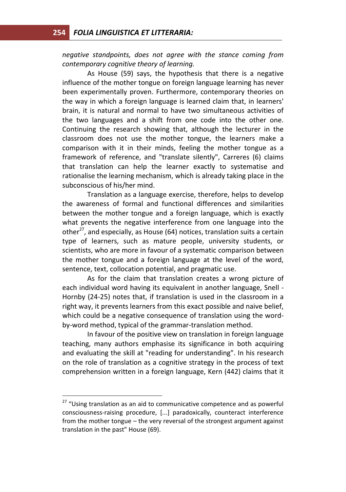*negative standpoints, does not agree with the stance coming from contemporary cognitive theory of learning.*

As House (59) says, the hypothesis that there is a negative influence of the mother tongue on foreign language learning has never been experimentally proven. Furthermore, contemporary theories on the way in which a foreign language is learned claim that, in learners' brain, it is natural and normal to have two simultaneous activities of the two languages and a shift from one code into the other one. Continuing the research showing that, although the lecturer in the classroom does not use the mother tongue, the learners make a comparison with it in their minds, feeling the mother tongue as a framework of reference, and "translate silently", Carreres (6) claims that translation can help the learner exactly to systematise and rationalise the learning mechanism, which is already taking place in the subconscious of his/her mind.

Translation as a language exercise, therefore, helps to develop the awareness of formal and functional differences and similarities between the mother tongue and a foreign language, which is exactly what prevents the negative interference from one language into the other<sup>27</sup>, and especially, as House (64) notices, translation suits a certain type of learners, such as mature people, university students, or scientists, who are more in favour of a systematic comparison between the mother tongue and a foreign language at the level of the word, sentence, text, collocation potential, and pragmatic use.

As for the claim that translation creates a wrong picture of each individual word having its equivalent in another language, Snell - Hornby (24-25) notes that, if translation is used in the classroom in a right way, it prevents learners from this exact possible and naive belief, which could be a negative consequence of translation using the wordby-word method, typical of the grammar-translation method.

In favour of the positive view on translation in foreign language teaching, many authors emphasise its significance in both acquiring and evaluating the skill at "reading for understanding". In his research on the role of translation as a cognitive strategy in the process of text comprehension written in a foreign language, Kern (442) claims that it

 $27$  "Using translation as an aid to communicative competence and as powerful consciousness-raising procedure, [...] paradoxically, counteract interference from the mother tongue – the very reversal of the strongest argument against translation in the past" House (69).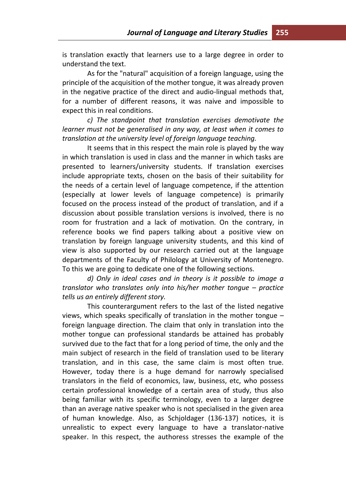is translation exactly that learners use to a large degree in order to understand the text.

As for the "natural" acquisition of a foreign language, using the principle of the acquisition of the mother tongue, it was already proven in the negative practice of the direct and audio-lingual methods that, for a number of different reasons, it was naive and impossible to expect this in real conditions.

*c) The standpoint that translation exercises demotivate the learner must not be generalised in any way, at least when it comes to translation at the university level of foreign language teaching.* 

It seems that in this respect the main role is played by the way in which translation is used in class and the manner in which tasks are presented to learners/university students. If translation exercises include appropriate texts, chosen on the basis of their suitability for the needs of a certain level of language competence, if the attention (especially at lower levels of language competence) is primarily focused on the process instead of the product of translation, and if a discussion about possible translation versions is involved, there is no room for frustration and a lack of motivation. On the contrary, in reference books we find papers talking about a positive view on translation by foreign language university students, and this kind of view is also supported by our research carried out at the language departments of the Faculty of Philology at University of Montenegro. To this we are going to dedicate one of the following sections.

*d) Only in ideal cases and in theory is it possible to image a translator who translates only into his/her mother tonque – practice tells us an entirely different story.*

This counterargument refers to the last of the listed negative views, which speaks specifically of translation in the mother tongue – foreign language direction. The claim that only in translation into the mother tongue can professional standards be attained has probably survived due to the fact that for a long period of time, the only and the main subject of research in the field of translation used to be literary translation, and in this case, the same claim is most often true. However, today there is a huge demand for narrowly specialised translators in the field of economics, law, business, etc, who possess certain professional knowledge of a certain area of study, thus also being familiar with its specific terminology, even to a larger degree than an average native speaker who is not specialised in the given area of human knowledge. Also, as Schjoldager (136-137) notices, it is unrealistic to expect every language to have a translator-native speaker. In this respect, the authoress stresses the example of the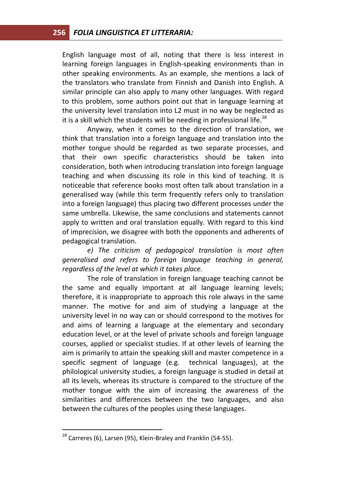English language most of all, noting that there is less interest in learning foreign languages in English-speaking environments than in other speaking environments. As an example, she mentions a lack of the translators who translate from Finnish and Danish into English. A similar principle can also apply to many other languages. With regard to this problem, some authors point out that in language learning at the university level translation into L2 must in no way be neglected as it is a skill which the students will be needing in professional life.<sup>28</sup>

Anyway, when it comes to the direction of translation, we think that translation into a foreign language and translation into the mother tongue should be regarded as two separate processes, and that their own specific characteristics should be taken into consideration, both when introducing translation into foreign language teaching and when discussing its role in this kind of teaching. It is noticeable that reference books most often talk about translation in a generalised way (while this term frequently refers only to translation into a foreign language) thus placing two different processes under the same umbrella. Likewise, the same conclusions and statements cannot apply to written and oral translation equally. With regard to this kind of imprecision, we disagree with both the opponents and adherents of pedagogical translation.

*e) The criticism of pedagogical translation is most often generalised and refers to foreign language teaching in general, regardless of the level at which it takes place.* 

The role of translation in foreign language teaching cannot be the same and equally important at all language learning levels; therefore, it is inappropriate to approach this role always in the same manner. The motive for and aim of studying a language at the university level in no way can or should correspond to the motives for and aims of learning a language at the elementary and secondary education level, or at the level of private schools and foreign language courses, applied or specialist studies. If at other levels of learning the aim is primarily to attain the speaking skill and master competence in a specific segment of language (e.g. technical languages), at the philological university studies, a foreign language is studied in detail at all its levels, whereas its structure is compared to the structure of the mother tongue with the aim of increasing the awareness of the similarities and differences between the two languages, and also between the cultures of the peoples using these languages.

 $28$  Carreres (6), Larsen (95), Klein-Braley and Franklin (54-55).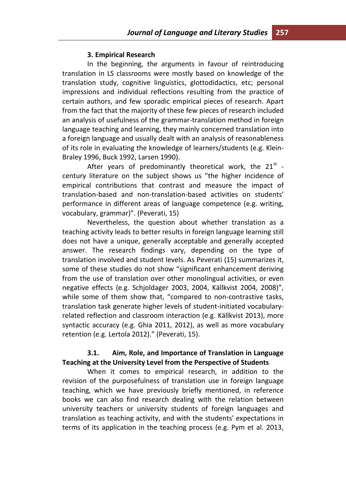#### **3. Empirical Research**

In the beginning, the arguments in favour of reintroducing translation in LS classrooms were mostly based on knowledge of the translation study, cognitive linguistics, glottodidactics, etc; personal impressions and individual reflections resulting from the practice of certain authors, and few sporadic empirical pieces of research. Apart from the fact that the majority of these few pieces of research included an analysis of usefulness of the grammar-translation method in foreign language teaching and learning, they mainly concerned translation into a foreign language and usually dealt with an analysis of reasonableness of its role in evaluating the knowledge of learners/students (e.g. Klein-Braley 1996, Buck 1992, Larsen 1990).

After years of predominantly theoretical work, the 21 $^{\rm st}$  century literature on the subject shows us "the higher incidence of empirical contributions that contrast and measure the impact of translation-based and non-translation-based activities on students' performance in different areas of language competence (e.g. writing, vocabulary, grammar)". (Peverati, 15)

Nevertheless, the question about whether translation as a teaching activity leads to better results in foreign language learning still does not have a unique, generally acceptable and generally accepted answer. The research findings vary, depending on the type of translation involved and student levels. As Peverati (15) summarizes it, some of these studies do not show "significant enhancement deriving from the use of translation over other monolingual activities, or even negative effects (e.g. Schjoldager 2003, 2004, Källkvist 2004, 2008)", while some of them show that, "compared to non-contrastive tasks, translation task generate higher levels of student-initiated vocabularyrelated reflection and classroom interaction (e.g. Källkvist 2013), more syntactic accuracy (e.g. Ghia 2011, 2012), as well as more vocabulary retention (e.g. Lertola 2012)." (Peverati, 15).

### **3.1. Aim, Role, and Importance of Translation in Language Teaching at the University Level from the Perspective of Students**

When it comes to empirical research, in addition to the revision of the purposefulness of translation use in foreign language teaching, which we have previously briefly mentioned, in reference books we can also find research dealing with the relation between university teachers or university students of foreign languages and translation as teaching activity, and with the students' expectations in terms of its application in the teaching process (e.g. Pym et al. 2013,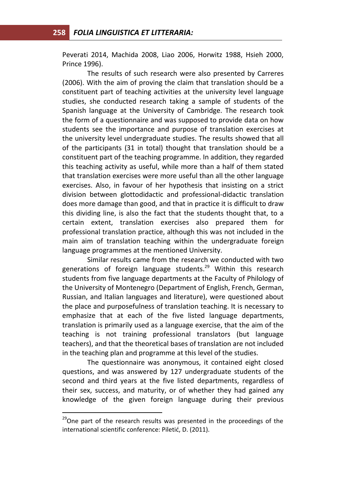Peverati 2014, Machida 2008, Liao 2006, Horwitz 1988, Hsieh 2000, Prince 1996).

The results of such research were also presented by Carreres (2006). With the aim of proving the claim that translation should be a constituent part of teaching activities at the university level language studies, she conducted research taking a sample of students of the Spanish language at the University of Cambridge. The research took the form of a questionnaire and was supposed to provide data on how students see the importance and purpose of translation exercises at the university level undergraduate studies. The results showed that all of the participants (31 in total) thought that translation should be a constituent part of the teaching programme. In addition, they regarded this teaching activity as useful, while more than a half of them stated that translation exercises were more useful than all the other language exercises. Also, in favour of her hypothesis that insisting on a strict division between glottodidactic and professional-didactic translation does more damage than good, and that in practice it is difficult to draw this dividing line, is also the fact that the students thought that, to a certain extent, translation exercises also prepared them for professional translation practice, although this was not included in the main aim of translation teaching within the undergraduate foreign language programmes at the mentioned University.

Similar results came from the research we conducted with two generations of foreign language students.<sup>29</sup> Within this research students from five language departments at the Faculty of Philology of the University of Montenegro (Department of English, French, German, Russian, and Italian languages and literature), were questioned about the place and purposefulness of translation teaching. It is necessary to emphasize that at each of the five listed language departments, translation is primarily used as a language exercise, that the aim of the teaching is not training professional translators (but language teachers), and that the theoretical bases of translation are not included in the teaching plan and programme at this level of the studies.

The questionnaire was anonymous, it contained eight closed questions, and was answered by 127 undergraduate students of the second and third years at the five listed departments, regardless of their sex, success, and maturity, or of whether they had gained any knowledge of the given foreign language during their previous

 $29$ One part of the research results was presented in the proceedings of the international scientific conference: Piletić, D. (2011).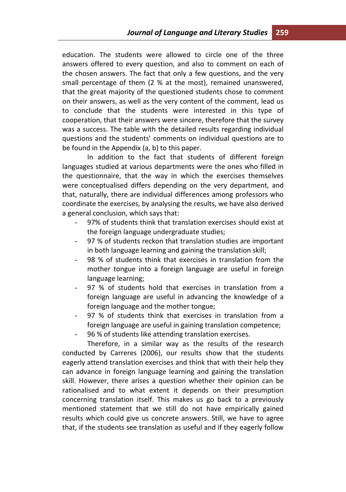education. The students were allowed to circle one of the three answers offered to every question, and also to comment on each of the chosen answers. The fact that only a few questions, and the very small percentage of them (2 % at the most), remained unanswered, that the great majority of the questioned students chose to comment on their answers, as well as the very content of the comment, lead us to conclude that the students were interested in this type of cooperation, that their answers were sincere, therefore that the survey was a success. The table with the detailed results regarding individual questions and the students' comments on individual questions are to be found in the Appendix (a, b) to this paper.

In addition to the fact that students of different foreign languages studied at various departments were the ones who filled in the questionnaire, that the way in which the exercises themselves were conceptualised differs depending on the very department, and that, naturally, there are individual differences among professors who coordinate the exercises, by analysing the results, we have also derived a general conclusion, which says that:

- 97% of students think that translation exercises should exist at the foreign language undergraduate studies;
- 97 % of students reckon that translation studies are important in both language learning and gaining the translation skill;
- 98 % of students think that exercises in translation from the mother tongue into a foreign language are useful in foreign language learning;
- 97 % of students hold that exercises in translation from a foreign language are useful in advancing the knowledge of a foreign language and the mother tongue;
- 97 % of students think that exercises in translation from a foreign language are useful in gaining translation competence;
- 96 % of students like attending translation exercises.

Therefore, in a similar way as the results of the research conducted by Carreres (2006), our results show that the students eagerly attend translation exercises and think that with their help they can advance in foreign language learning and gaining the translation skill. However, there arises a question whether their opinion can be rationalised and to what extent it depends on their presumption concerning translation itself. This makes us go back to a previously mentioned statement that we still do not have empirically gained results which could give us concrete answers. Still, we have to agree that, if the students see translation as useful and if they eagerly follow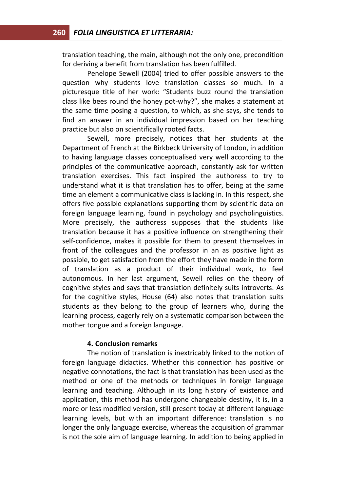translation teaching, the main, although not the only one, precondition for deriving a benefit from translation has been fulfilled.

Penelope Sewell (2004) tried to offer possible answers to the question why students love translation classes so much. In a picturesque title of her work: "Students buzz round the translation class like bees round the honey pot-why?", she makes a statement at the same time posing a question, to which, as she says, she tends to find an answer in an individual impression based on her teaching practice but also on scientifically rooted facts.

Sewell, more precisely, notices that her students at the Department of French at the Birkbeck University of London, in addition to having language classes conceptualised very well according to the principles of the communicative approach, constantly ask for written translation exercises. This fact inspired the authoress to try to understand what it is that translation has to offer, being at the same time an element a communicative class is lacking in. In this respect, she offers five possible explanations supporting them by scientific data on foreign language learning, found in psychology and psycholinguistics. More precisely, the authoress supposes that the students like translation because it has a positive influence on strengthening their self-confidence, makes it possible for them to present themselves in front of the colleagues and the professor in an as positive light as possible, to get satisfaction from the effort they have made in the form of translation as a product of their individual work, to feel autonomous. In her last argument, Sewell relies on the theory of cognitive styles and says that translation definitely suits introverts. As for the cognitive styles, House (64) also notes that translation suits students as they belong to the group of learners who, during the learning process, eagerly rely on a systematic comparison between the mother tongue and a foreign language.

#### **4. Conclusion remarks**

The notion of translation is inextricably linked to the notion of foreign language didactics. Whether this connection has positive or negative connotations, the fact is that translation has been used as the method or one of the methods or techniques in foreign language learning and teaching. Although in its long history of existence and application, this method has undergone changeable destiny, it is, in a more or less modified version, still present today at different language learning levels, but with an important difference: translation is no longer the only language exercise, whereas the acquisition of grammar is not the sole aim of language learning. In addition to being applied in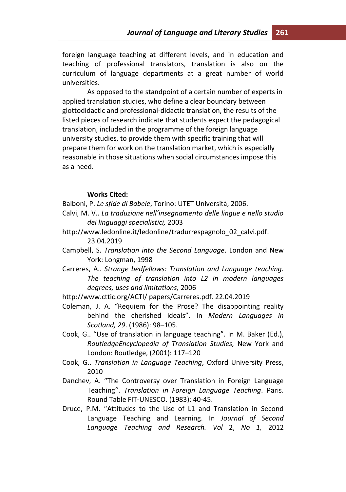foreign language teaching at different levels, and in education and teaching of professional translators, translation is also on the curriculum of language departments at a great number of world universities.

As opposed to the standpoint of a certain number of experts in applied translation studies, who define a clear boundary between glottodidactic and professional-didactic translation, the results of the listed pieces of research indicate that students expect the pedagogical translation, included in the programme of the foreign language university studies, to provide them with specific training that will prepare them for work on the translation market, which is especially reasonable in those situations when social circumstances impose this as a need.

#### **Works Cited:**

- Balboni, P. *Le sfide di Babele*, Torino: UTET Università, 2006.
- Calvi, M. V.. *La traduzione nell'insegnamento delle lingue e nello studio dei linguaggi specialistici,* 2003
- http://www.ledonline.it/ledonline/tradurrespagnolo\_02\_calvi.pdf. 23.04.2019
- Campbell, S. *Translation into the Second Language*. London and New York: Longman, 1998
- Carreres, A.. *Strange bedfellows: Translation and Language teaching. The teaching of translation into L2 in modern languages degrees; uses and limitations,* 2006
- http://www.cttic.org/ACTI/ papers/Carreres.pdf. 22.04.2019
- Coleman, J. A. "Requiem for the Prose? The disappointing reality behind the cherished ideals". In *Modern Languages in Scotland, 29*. (1986): 98–105.
- Cook, G.. "Use of translation in language teaching". In M. Baker (Ed.), *RoutledgeEncyclopedia of Translation Studies,* New York and London: Routledge, (2001): 117–120
- Cook, G.. *Translation in Language Teaching*, Oxford University Press, 2010
- Danchev, A. "The Controversy over Translation in Foreign Language Teaching". *Translation in Foreign Language Teaching*. Paris. Round Table FIT-UNESCO. (1983): 40-45.
- Druce, P.M. "Attitudes to the Use of L1 and Translation in Second Language Teaching and Learning. In *Journal of Second Language Teaching and Research. Vol* 2, *No 1,* 2012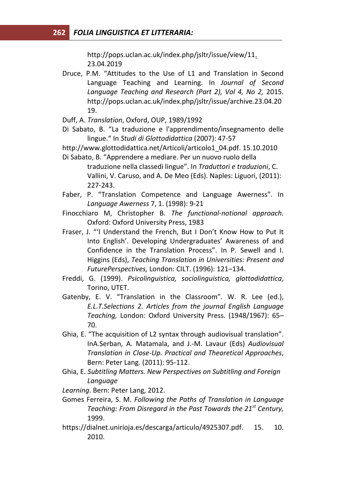http://pops.uclan.ac.uk/index.php/jsltr/issue/view/11. 23.04.2019

- Druce, P.M. "Attitudes to the Use of L1 and Translation in Second Language Teaching and Learning. In *Journal of Second Language Teaching and Research (Part 2), Vol 4, No 2,* 2015. http://pops.uclan.ac.uk/index.php/jsltr/issue/archive*.*23.04.20 19.
- Duff, A. *Translation*, Oxford, OUP, 1989/1992
- Di Sabato, B. "La traduzione e l'apprendimento/insegnamento delle lingue." In *Studi di Glottodidattica* (2007): 47-57

http://www.glottodidattica.net/Articoli/articolo1\_04.pdf. 15.10.2010

- Di Sabato, B. "Apprendere a mediare. Per un nuovo ruolo della traduzione nella classedi lingue". In *Traduttori e traduzioni*, C. Vallini, V. Caruso, and A. De Meo (Eds). Naples: Liguori, (2011): 227-243.
- Faber, P. "Translation Competence and Language Awerness". In *Language Awerness* 7, 1. (1998): 9-21
- Finocchiaro M, Christopher B. *The functional-notional approach.* Oxford: Oxford University Press, 1983
- Fraser, J. "'I Understand the French, But I Don't Know How to Put It Into English'. Developing Undergraduates' Awareness of and Confidence in the Translation Process". In P. Sewell and I. Higgins (Eds), *Teaching Translation in Universities: Present and FuturePerspectives,* London: CILT. (1996): 121–134.
- Freddi, G. (1999). *Psicolinguistica, sociolinguistica, glottodidattica*, Torino, UTET.
- Gatenby, E. V. "Translation in the Classroom". W. R. Lee (ed.), *E.L.T.Selections 2. Articles from the journal English Language Teaching,* London: Oxford University Press. (1948/1967): 65– 70.
- Ghia, E. "The acquisition of L2 syntax through audiovisual translation". InA.Serban, A. Matamala, and J.-M. Lavaur (Eds) *Audiovisual Translation in Close-Up. Practical and Theoretical Approaches*, Bern: Peter Lang. (2011): 95-112.
- Ghia, E. *Subtitling Matters. New Perspectives on Subtitling and Foreign Language*
- *Learning*. Bern: Peter Lang, 2012.
- Gomes Ferreira, S. M. *Following the Paths of Translation in Language Teaching: From Disregard in the Past Towards the 21st Century,*  1999.
- https://dialnet.unirioja.es/descarga/articulo/4925307.pdf. 15. 10. 2010.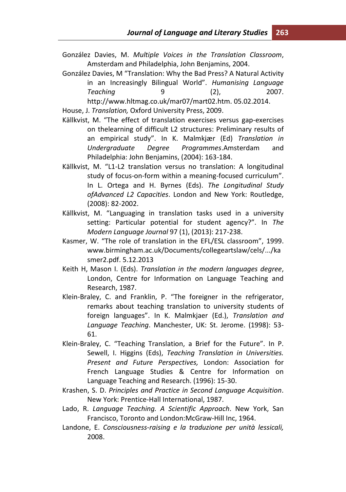- González Davies, M. *Multiple Voices in the Translation Classroom*, Amsterdam and Philadelphia, John Benjamins, 2004.
- González Davies, M "Translation: Why the Bad Press? A Natural Activity in an Increasingly Bilingual World". *Humanising Language Teaching* 9 (2), 2007. http://www.hltmag.co.uk/mar07/mart02.htm. 05.02.2014.
- House, J. *Translation,* Oxford University Press, 2009.
- Källkvist, M. "The effect of translation exercises versus gap-exercises on thelearning of difficult L2 structures: Preliminary results of an empirical study". In K. Malmkjær (Ed) *Translation in Undergraduate Degree Programmes*.Amsterdam and Philadelphia: John Benjamins, (2004): 163-184.
- Källkvist, M. "L1-L2 translation versus no translation: A longitudinal study of focus-on-form within a meaning-focused curriculum". In L. Ortega and H. Byrnes (Eds). *The Longitudinal Study ofAdvanced L2 Capacities*. London and New York: Routledge, (2008): 82-2002.
- Källkvist, M. "Languaging in translation tasks used in a university setting: Particular potential for student agency?". In *The Modern Language Journal* 97 (1), (2013): 217-238.
- Kasmer, W. "The role of translation in the EFL/ESL classroom", 1999. www.birmingham.ac.uk/Documents/collegeartslaw/cels/.../ka smer2.pdf. 5.12.2013
- Keith H, Mason I. (Eds). *Translation in the modern languages degree*, London, Centre for Information on Language Teaching and Research, 1987.
- Klein-Braley, C. and Franklin, P. "The foreigner in the refrigerator, remarks about teaching translation to university students of foreign languages". In K. Malmkjaer (Ed.), *Translation and Language Teaching*. Manchester, UK: St. Jerome. (1998): 53- 61.
- Klein-Braley, C. "Teaching Translation, a Brief for the Future". In P. Sewell, I. Higgins (Eds), *Teaching Translation in Universities. Present and Future Perspectives,* London: Association for French Language Studies & Centre for Information on Language Teaching and Research. (1996): 15-30.
- Krashen, S. D. *Principles and Practice in Second Language Acquisition*. New York: Prentice-Hall International, 1987.
- Lado, R. *Language Teaching. A Scientific Approach*. New York, San Francisco, Toronto and London:McGraw-Hill Inc, 1964.
- Landone, E. *Consciousness-raising e la traduzione per unità lessicali,*  2008.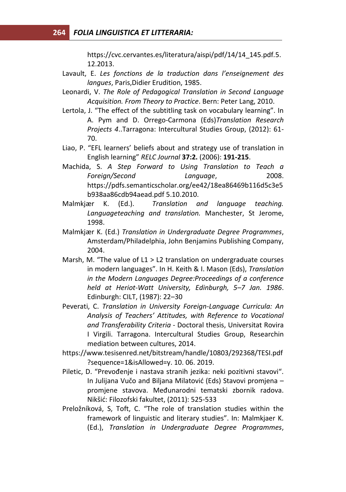https://cvc.cervantes.es/literatura/aispi/pdf/14/14\_145.pdf*.*5. 12.2013.

- Lavault, E. *Les fonctions de la traduction dans l'enseignement des langues*, Paris,Didier Erudition, 1985.
- Leonardi, V. *The Role of Pedagogical Translation in Second Language Acquisition. From Theory to Practice*. Bern: Peter Lang, 2010.
- Lertola, J. "The effect of the subtitling task on vocabulary learning". In A. Pym and D. Orrego-Carmona (Eds)*Translation Research Projects 4*..Tarragona: Intercultural Studies Group, (2012): 61- 70.
- Liao, P. "EFL learners' beliefs about and strategy use of translation in English learning" *RELC Journal* **37:2.** (2006): **191-215**.
- Machida, S. *A Step Forward to Using Translation to Teach a Foreign/Second Language*, 2008. https://pdfs.semanticscholar.org/ee42/18ea86469b116d5c3e5 b938aa86cdb94aead.pdf 5.10.2010.
- Malmkjær K. (Ed.). *Translation and language teaching. Languageteaching and translation.* Manchester, St Jerome, 1998.
- Malmkjær K. (Ed.) *Translation in Undergraduate Degree Programmes*, Amsterdam/Philadelphia, John Benjamins Publishing Company, 2004.
- Marsh, M. "The value of L1 > L2 translation on undergraduate courses in modern languages". In H. Keith & I. Mason (Eds), *Translation in the Modern Languages Degree:Proceedings of a conference held at Heriot-Watt University, Edinburgh, 5–7 Jan. 1986*. Edinburgh: CILT, (1987): 22–30
- Peverati, C. *Translation in University Foreign-Language Curricula: An Analysis of Teachers' Attitudes, with Reference to Vocational and Transferability Criteria* - Doctoral thesis, Universitat Rovira I Virgili. Tarragona. Intercultural Studies Group, Researchin mediation between cultures, 2014.
- https://www.tesisenred.net/bitstream/handle/10803/292368/TESI.pdf ?sequence=1&isAllowed=y. 10. 06. 2019.
- Piletic, D. "Prevođenje i nastava stranih jezika: neki pozitivni stavovi". In Julijana Vučo and Biljana Milatović (Eds) Stavovi promjena – promjene stavova. Međunarodni tematski zbornik radova. Nikšić: Filozofski fakultet, (2011): 525-533
- Preložníková, S, Toft, C. "The role of translation studies within the framework of linguistic and literary studies". In: Malmkjaer K. (Ed.), *Translation in Undergraduate Degree Programmes*,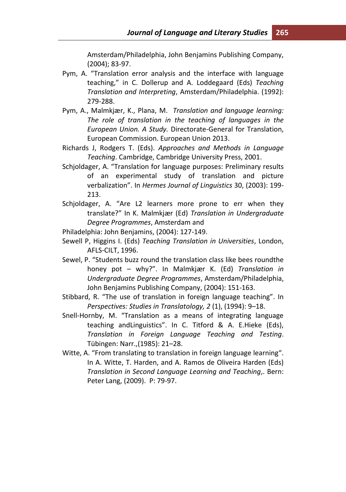Amsterdam/Philadelphia, John Benjamins Publishing Company, (2004); 83-97.

- Pym, A. "Translation error analysis and the interface with language teaching," in C. Dollerup and A. Loddegaard (Eds) *Teaching Translation and Interpreting*, Amsterdam/Philadelphia. (1992): 279-288.
- Pym, A., Malmkjær, K., Plana, M. *Translation and language learning: The role of translation in the teaching of languages in the European Union. A Study.* Directorate-General for Translation, European Commission. European Union 2013.
- Richards J, Rodgers T. (Eds). *Approaches and Methods in Language Teaching*. Cambridge, Cambridge University Press, 2001.
- Schjoldager, A. "Translation for language purposes: Preliminary results of an experimental study of translation and picture verbalization". In *Hermes Journal of Linguistics* 30, (2003): 199- 213.
- Schjoldager, A. "Are L2 learners more prone to err when they translate?" In K. Malmkjær (Ed) *Translation in Undergraduate Degree Programmes*, Amsterdam and
- Philadelphia: John Benjamins, (2004): 127-149.
- Sewell P, Higgins I. (Eds) *Teaching Translation in Universities*, London, AFLS-CILT, 1996.
- Sewel, P. "Students buzz round the translation class like bees roundthe honey pot – why?". In Malmkjær K. (Ed) *Translation in Undergraduate Degree Programmes*, Amsterdam/Philadelphia, John Benjamins Publishing Company, (2004): 151-163.
- Stibbard, R. "The use of translation in foreign language teaching". In *Perspectives: Studies in Translatology, 2* (1), (1994): 9–18.
- Snell-Hornby, M. "Translation as a means of integrating language teaching andLinguistics". In C. Titford & A. E.Hieke (Eds), *Translation in Foreign Language Teaching and Testing*. Tübingen: Narr.,(1985): 21–28.
- Witte, A. "From translating to translation in foreign language learning". In A. Witte, T. Harden, and A. Ramos de Oliveira Harden (Eds) *Translation in Second Language Learning and Teaching*,. Bern: Peter Lang, (2009). P: 79-97.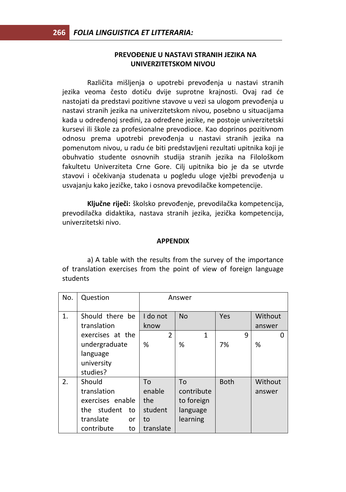#### **PREVOĐENJE U NASTAVI STRANIH JEZIKA NA UNIVERZITETSKOM NIVOU**

Različita mišljenja o upotrebi prevođenja u nastavi stranih jezika veoma često dotiču dvije suprotne krajnosti. Ovaj rad će nastojati da predstavi pozitivne stavove u vezi sa ulogom prevođenja u nastavi stranih jezika na univerzitetskom nivou, posebno u situacijama kada u određenoj sredini, za određene jezike, ne postoje univerzitetski kursevi ili škole za profesionalne prevodioce. Kao doprinos pozitivnom odnosu prema upotrebi prevođenja u nastavi stranih jezika na pomenutom nivou, u radu će biti predstavljeni rezultati upitnika koji je obuhvatio studente osnovnih studija stranih jezika na Filološkom fakultetu Univerziteta Crne Gore. Cilj upitnika bio je da se utvrde stavovi i očekivanja studenata u pogledu uloge vježbi prevođenja u usvajanju kako jezičke, tako i osnova prevodilačke kompetencije.

**Ključne riječi:** školsko prevođenje, prevodilačka kompetencija, prevodilačka didaktika, nastava stranih jezika, jezička kompetencija, univerzitetski nivo.

#### **APPENDIX**

a) A table with the results from the survey of the importance of translation exercises from the point of view of foreign language students

| No. | Question             | Answer         |            |             |         |  |  |
|-----|----------------------|----------------|------------|-------------|---------|--|--|
| 1.  | Should there be      | I do not       | <b>No</b>  | Yes         | Without |  |  |
|     |                      |                |            |             |         |  |  |
|     | translation          | know           |            |             | answer  |  |  |
|     | exercises at the     | $\overline{2}$ | 1          | q           | O       |  |  |
|     | undergraduate        | %              | %          | 7%          | %       |  |  |
|     | language             |                |            |             |         |  |  |
|     | university           |                |            |             |         |  |  |
|     | studies?             |                |            |             |         |  |  |
| 2.  | Should               | To             | To         | <b>Both</b> | Without |  |  |
|     | translation          | enable         | contribute |             | answer  |  |  |
|     | exercises enable     | the            | to foreign |             |         |  |  |
|     | student<br>the<br>to | student        | language   |             |         |  |  |
|     | translate<br>or      | to             | learning   |             |         |  |  |
|     | contribute<br>to     | translate      |            |             |         |  |  |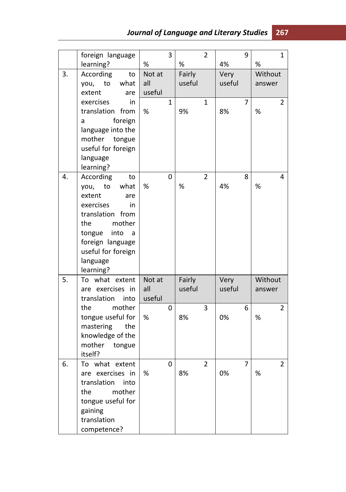|    | foreign language                                                                                                                                                                                         |                         | 3            |                  | $\overline{2}$ |                | 9 | $\mathbf{1}$           |
|----|----------------------------------------------------------------------------------------------------------------------------------------------------------------------------------------------------------|-------------------------|--------------|------------------|----------------|----------------|---|------------------------|
|    | learning?                                                                                                                                                                                                | %                       |              | %                |                | 4%             |   | %                      |
| 3. | According<br>to<br>what<br>you,<br>to<br>extent<br>are                                                                                                                                                   | Not at<br>all<br>useful |              | Fairly<br>useful |                | Very<br>useful |   | Without<br>answer      |
|    | exercises<br>in<br>translation<br>from<br>foreign<br>a<br>language into the<br>mother<br>tongue<br>useful for foreign<br>language<br>learning?                                                           | %                       | $\mathbf{1}$ | 9%               | $\mathbf{1}$   | 8%             | 7 | $\overline{2}$<br>$\%$ |
| 4. | According<br>to<br>what<br>you,<br>to<br>extent<br>are<br>exercises<br>in<br>translation from<br>the<br>mother<br>tongue<br>into<br>a<br>foreign language<br>useful for foreign<br>language<br>learning? | %                       | 0            | $\%$             | $\overline{2}$ | 4%             | 8 | 4<br>$\%$              |
| 5. | To what extent<br>are exercises in<br>translation<br>into                                                                                                                                                | Not at<br>all<br>useful |              | Fairly<br>useful |                | Very<br>useful |   | Without<br>answer      |
|    | mother<br>the<br>tongue useful for<br>mastering<br>the<br>knowledge of the<br>mother<br>tongue<br>itself?                                                                                                | %                       | 0            | 8%               | 3              | 0%             | 6 | 2<br>$\%$              |
| 6. | what extent<br>то<br>exercises<br>- in<br>are<br>translation<br>into<br>mother<br>the<br>tongue useful for<br>gaining<br>translation<br>competence?                                                      | %                       | 0            | 8%               | $\overline{2}$ | 0%             | 7 | $\overline{2}$<br>%    |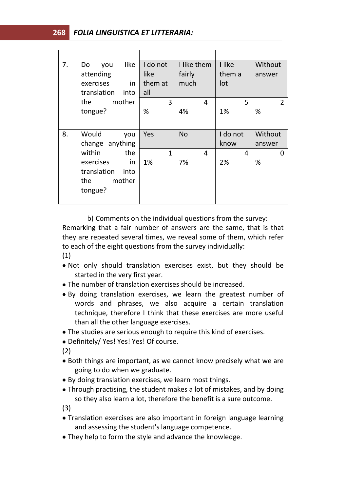# **268** *FOLIA LINGUISTICA ET LITTERARIA:*

| 7. | like<br>Do<br>you<br>attending<br>exercises<br>in<br>translation<br>into            | I do not<br>like<br>them at<br>all | I like them<br>fairly<br>much | I like<br>them a<br>lot | Without<br>answer   |
|----|-------------------------------------------------------------------------------------|------------------------------------|-------------------------------|-------------------------|---------------------|
|    | the<br>mother<br>tongue?                                                            | 3<br>%                             | 4<br>4%                       | 5<br>1%                 | $\overline{2}$<br>% |
| 8. | Would<br>you<br>change anything                                                     | Yes                                | <b>No</b>                     | I do not<br>know        | Without<br>answer   |
|    | within<br>the<br>exercises<br>in<br>translation<br>into<br>the<br>mother<br>tongue? | $\mathbf{1}$<br>1%                 | 4<br>7%                       | 4<br>2%                 | 0<br>%              |

b) Comments on the individual questions from the survey:

Remarking that a fair number of answers are the same, that is that they are repeated several times, we reveal some of them, which refer to each of the eight questions from the survey individually: (1)

- Not only should translation exercises exist, but they should be started in the very first year.
- The number of translation exercises should be increased.
- By doing translation exercises, we learn the greatest number of words and phrases, we also acquire a certain translation technique, therefore I think that these exercises are more useful than all the other language exercises.
- The studies are serious enough to require this kind of exercises.
- Definitely/ Yes! Yes! Yes! Of course.

(2)

- Both things are important, as we cannot know precisely what we are going to do when we graduate.
- By doing translation exercises, we learn most things.
- Through practising, the student makes a lot of mistakes, and by doing so they also learn a lot, therefore the benefit is a sure outcome.

(3)

- Translation exercises are also important in foreign language learning and assessing the student's language competence.
- They help to form the style and advance the knowledge.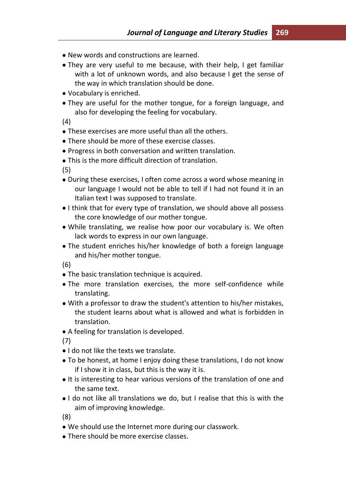- New words and constructions are learned.
- They are very useful to me because, with their help, I get familiar with a lot of unknown words, and also because I get the sense of the way in which translation should be done.
- Vocabulary is enriched.
- They are useful for the mother tongue, for a foreign language, and also for developing the feeling for vocabulary.

(4)

- These exercises are more useful than all the others.
- There should be more of these exercise classes.
- Progress in both conversation and written translation.
- This is the more difficult direction of translation.

(5)

- During these exercises, I often come across a word whose meaning in our language I would not be able to tell if I had not found it in an Italian text I was supposed to translate.
- I think that for every type of translation, we should above all possess the core knowledge of our mother tongue.
- While translating, we realise how poor our vocabulary is. We often lack words to express in our own language.
- The student enriches his/her knowledge of both a foreign language and his/her mother tongue.

(6)

- The basic translation technique is acquired.
- The more translation exercises, the more self-confidence while translating.
- With a professor to draw the student's attention to his/her mistakes, the student learns about what is allowed and what is forbidden in translation.
- A feeling for translation is developed.

(7)

- I do not like the texts we translate.
- To be honest, at home I enjoy doing these translations, I do not know if I show it in class, but this is the way it is.
- $\bullet$  It is interesting to hear various versions of the translation of one and the same text.
- I do not like all translations we do, but I realise that this is with the aim of improving knowledge.

(8)

- We should use the Internet more during our classwork.
- There should be more exercise classes.